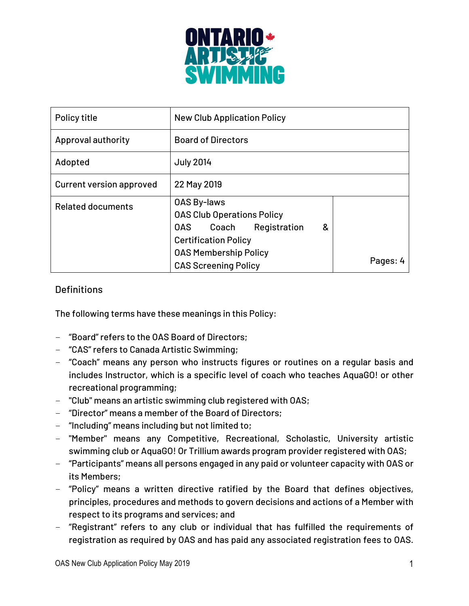

| Policy title                    | <b>New Club Application Policy</b>                                                                                                                           |          |
|---------------------------------|--------------------------------------------------------------------------------------------------------------------------------------------------------------|----------|
| Approval authority              | <b>Board of Directors</b>                                                                                                                                    |          |
| Adopted                         | <b>July 2014</b>                                                                                                                                             |          |
| <b>Current version approved</b> | 22 May 2019                                                                                                                                                  |          |
| <b>Related documents</b>        | <b>OAS By-laws</b><br><b>OAS Club Operations Policy</b><br>Coach<br>Registration<br>&<br>OAS.<br><b>Certification Policy</b><br><b>OAS Membership Policy</b> | Pages: 4 |
|                                 | <b>CAS Screening Policy</b>                                                                                                                                  |          |

## **Definitions**

The following terms have these meanings in this Policy:

- "Board" refers to the OAS Board of Directors;
- "CAS" refers to Canada Artistic Swimming;
- "Coach" means any person who instructs figures or routines on a regular basis and includes Instructor, which is a specific level of coach who teaches AquaGO! or other recreational programming;
- "Club" means an artistic swimming club registered with OAS;
- "Director" means a member of the Board of Directors;
- "Including" means including but not limited to;
- "Member" means any Competitive, Recreational, Scholastic, University artistic swimming club or AquaGO! Or Trillium awards program provider registered with OAS;
- "Participants" means all persons engaged in any paid or volunteer capacity with OAS or its Members;
- "Policy" means a written directive ratified by the Board that defines objectives, principles, procedures and methods to govern decisions and actions of a Member with respect to its programs and services; and
- "Registrant" refers to any club or individual that has fulfilled the requirements of registration as required by OAS and has paid any associated registration fees to OAS.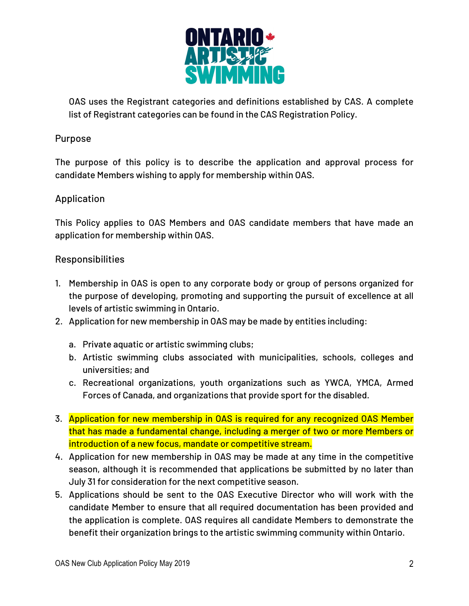

OAS uses the Registrant categories and definitions established by CAS. A complete list of Registrant categories can be found in the CAS Registration Policy.

## Purpose

The purpose of this policy is to describe the application and approval process for candidate Members wishing to apply for membership within OAS.

## Application

This Policy applies to OAS Members and OAS candidate members that have made an application for membership within OAS.

#### Responsibilities

- 1. Membership in OAS is open to any corporate body or group of persons organized for the purpose of developing, promoting and supporting the pursuit of excellence at all levels of artistic swimming in Ontario.
- 2. Application for new membership in OAS may be made by entities including:
	- a. Private aquatic or artistic swimming clubs;
	- b. Artistic swimming clubs associated with municipalities, schools, colleges and universities; and
	- c. Recreational organizations, youth organizations such as YWCA, YMCA, Armed Forces of Canada, and organizations that provide sport for the disabled.
- 3. Application for new membership in OAS is required for any recognized OAS Member that has made a fundamental change, including a merger of two or more Members or introduction of a new focus, mandate or competitive stream.
- 4. Application for new membership in OAS may be made at any time in the competitive season, although it is recommended that applications be submitted by no later than July 31 for consideration for the next competitive season.
- 5. Applications should be sent to the OAS Executive Director who will work with the candidate Member to ensure that all required documentation has been provided and the application is complete. OAS requires all candidate Members to demonstrate the benefit their organization brings to the artistic swimming community within Ontario.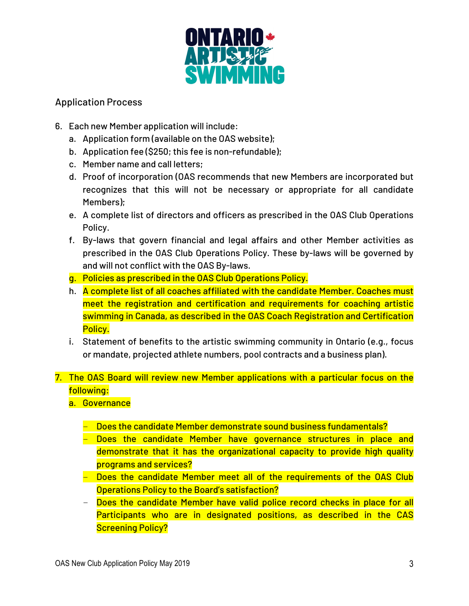

## Application Process

- 6. Each new Member application will include:
	- a. Application form (available on the OAS website);
	- b. Application fee (\$250; this fee is non-refundable);
	- c. Member name and call letters;
	- d. Proof of incorporation (OAS recommends that new Members are incorporated but recognizes that this will not be necessary or appropriate for all candidate Members);
	- e. A complete list of directors and officers as prescribed in the OAS Club Operations Policy.
	- f. By-laws that govern financial and legal affairs and other Member activities as prescribed in the OAS Club Operations Policy. These by-laws will be governed by and will not conflict with the OAS By-laws.
	- g. Policies as prescribed in the OAS Club Operations Policy.
	- h. A complete list of all coaches affiliated with the candidate Member. Coaches must meet the registration and certification and requirements for coaching artistic swimming in Canada, as described in the OAS Coach Registration and Certification Policy.
	- i. Statement of benefits to the artistic swimming community in Ontario (e.g., focus or mandate, projected athlete numbers, pool contracts and a business plan).

# 7. The OAS Board will review new Member applications with a particular focus on the following:

- a. Governance
	- Does the candidate Member demonstrate sound business fundamentals?
	- Does the candidate Member have governance structures in place and demonstrate that it has the organizational capacity to provide high quality programs and services?
	- Does the candidate Member meet all of the requirements of the OAS Club Operations Policy to the Board's satisfaction?
	- Does the candidate Member have valid police record checks in place for all Participants who are in designated positions, as described in the CAS Screening Policy?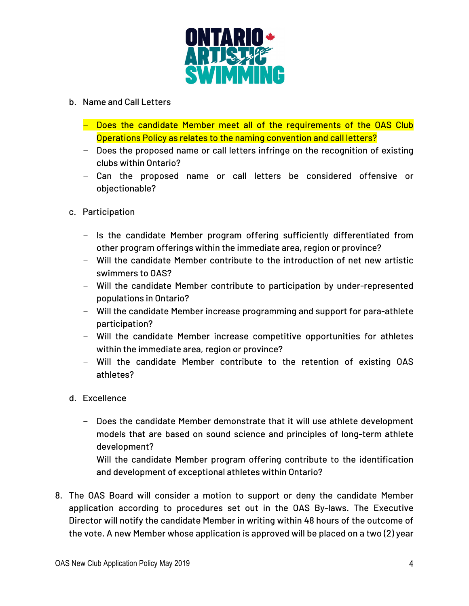

- b. Name and Call Letters
	- Does the candidate Member meet all of the requirements of the OAS Club Operations Policy as relates to the naming convention and call letters?
	- Does the proposed name or call letters infringe on the recognition of existing clubs within Ontario?
	- Can the proposed name or call letters be considered offensive or objectionable?
- c. Participation
	- Is the candidate Member program offering sufficiently differentiated from other program offerings within the immediate area, region or province?
	- Will the candidate Member contribute to the introduction of net new artistic swimmers to OAS?
	- Will the candidate Member contribute to participation by under-represented populations in Ontario?
	- Will the candidate Member increase programming and support for para-athlete participation?
	- Will the candidate Member increase competitive opportunities for athletes within the immediate area, region or province?
	- Will the candidate Member contribute to the retention of existing OAS athletes?
- d. Excellence
	- Does the candidate Member demonstrate that it will use athlete development models that are based on sound science and principles of long-term athlete development?
	- Will the candidate Member program offering contribute to the identification and development of exceptional athletes within Ontario?
- 8. The OAS Board will consider a motion to support or deny the candidate Member application according to procedures set out in the OAS By-laws. The Executive Director will notify the candidate Member in writing within 48 hours of the outcome of the vote. A new Member whose application is approved will be placed on a two (2) year